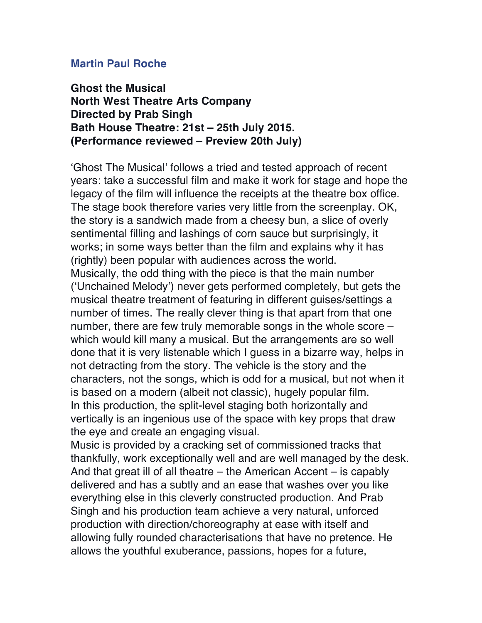## **Martin Paul Roche**

**Ghost the Musical North West Theatre Arts Company Directed by Prab Singh Bath House Theatre: 21st – 25th July 2015. (Performance reviewed – Preview 20th July)**

'Ghost The Musical' follows a tried and tested approach of recent years: take a successful film and make it work for stage and hope the legacy of the film will influence the receipts at the theatre box office. The stage book therefore varies very little from the screenplay. OK, the story is a sandwich made from a cheesy bun, a slice of overly sentimental filling and lashings of corn sauce but surprisingly, it works; in some ways better than the film and explains why it has (rightly) been popular with audiences across the world. Musically, the odd thing with the piece is that the main number ('Unchained Melody') never gets performed completely, but gets the musical theatre treatment of featuring in different guises/settings a number of times. The really clever thing is that apart from that one number, there are few truly memorable songs in the whole score – which would kill many a musical. But the arrangements are so well done that it is very listenable which I guess in a bizarre way, helps in not detracting from the story. The vehicle is the story and the characters, not the songs, which is odd for a musical, but not when it is based on a modern (albeit not classic), hugely popular film. In this production, the split-level staging both horizontally and vertically is an ingenious use of the space with key props that draw the eye and create an engaging visual.

Music is provided by a cracking set of commissioned tracks that thankfully, work exceptionally well and are well managed by the desk. And that great ill of all theatre – the American Accent – is capably delivered and has a subtly and an ease that washes over you like everything else in this cleverly constructed production. And Prab Singh and his production team achieve a very natural, unforced production with direction/choreography at ease with itself and allowing fully rounded characterisations that have no pretence. He allows the youthful exuberance, passions, hopes for a future,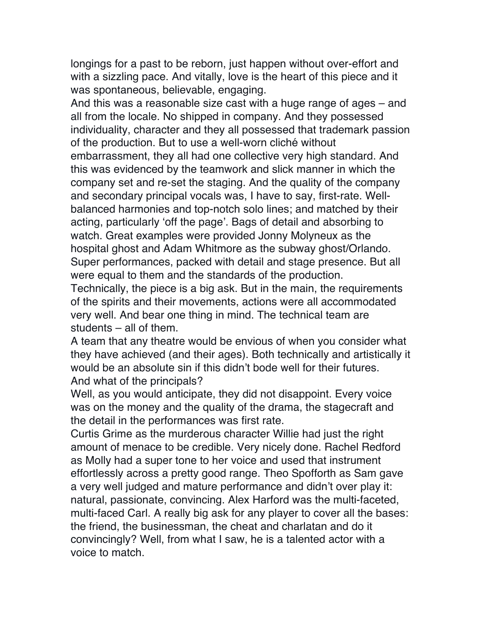longings for a past to be reborn, just happen without over-effort and with a sizzling pace. And vitally, love is the heart of this piece and it was spontaneous, believable, engaging.

And this was a reasonable size cast with a huge range of ages – and all from the locale. No shipped in company. And they possessed individuality, character and they all possessed that trademark passion of the production. But to use a well-worn cliché without embarrassment, they all had one collective very high standard. And this was evidenced by the teamwork and slick manner in which the company set and re-set the staging. And the quality of the company and secondary principal vocals was, I have to say, first-rate. Wellbalanced harmonies and top-notch solo lines; and matched by their acting, particularly 'off the page'. Bags of detail and absorbing to watch. Great examples were provided Jonny Molyneux as the hospital ghost and Adam Whitmore as the subway ghost/Orlando. Super performances, packed with detail and stage presence. But all were equal to them and the standards of the production.

Technically, the piece is a big ask. But in the main, the requirements of the spirits and their movements, actions were all accommodated very well. And bear one thing in mind. The technical team are students – all of them.

A team that any theatre would be envious of when you consider what they have achieved (and their ages). Both technically and artistically it would be an absolute sin if this didn't bode well for their futures. And what of the principals?

Well, as you would anticipate, they did not disappoint. Every voice was on the money and the quality of the drama, the stagecraft and the detail in the performances was first rate.

Curtis Grime as the murderous character Willie had just the right amount of menace to be credible. Very nicely done. Rachel Redford as Molly had a super tone to her voice and used that instrument effortlessly across a pretty good range. Theo Spofforth as Sam gave a very well judged and mature performance and didn't over play it: natural, passionate, convincing. Alex Harford was the multi-faceted, multi-faced Carl. A really big ask for any player to cover all the bases: the friend, the businessman, the cheat and charlatan and do it convincingly? Well, from what I saw, he is a talented actor with a voice to match.